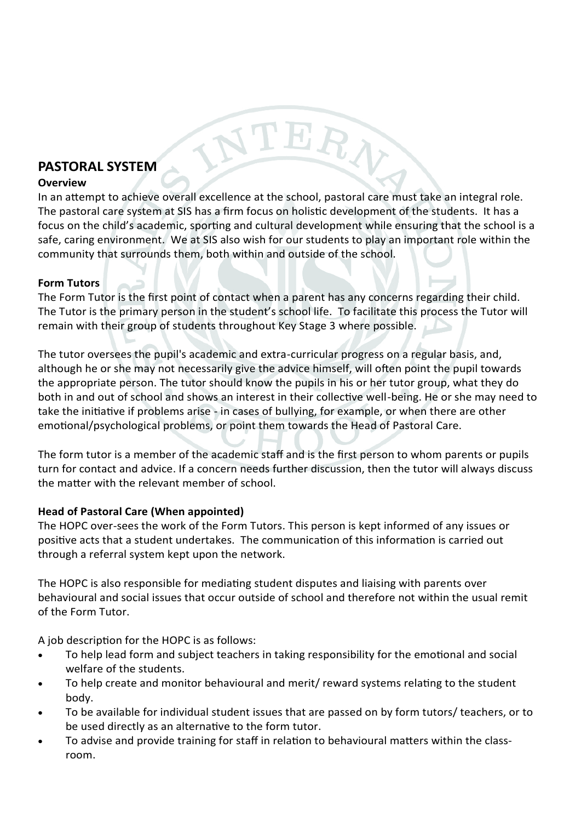# **PASTORAL SYSTEM**

### **Overview**

In an attempt to achieve overall excellence at the school, pastoral care must take an integral role. The pastoral care system at SIS has a firm focus on holistic development of the students. It has a focus on the child's academic, sporting and cultural development while ensuring that the school is a safe, caring environment. We at SIS also wish for our students to play an important role within the community that surrounds them, both within and outside of the school.

NTERA

# **Form Tutors**

The Form Tutor is the first point of contact when a parent has any concerns regarding their child. The Tutor is the primary person in the student's school life. To facilitate this process the Tutor will remain with their group of students throughout Key Stage 3 where possible.

The tutor oversees the pupil's academic and extra-curricular progress on a regular basis, and, although he or she may not necessarily give the advice himself, will often point the pupil towards the appropriate person. The tutor should know the pupils in his or her tutor group, what they do both in and out of school and shows an interest in their collective well-being. He or she may need to take the initiative if problems arise - in cases of bullying, for example, or when there are other emotional/psychological problems, or point them towards the Head of Pastoral Care.

The form tutor is a member of the academic staff and is the first person to whom parents or pupils turn for contact and advice. If a concern needs further discussion, then the tutor will always discuss the matter with the relevant member of school.

# **Head of Pastoral Care (When appointed)**

The HOPC over-sees the work of the Form Tutors. This person is kept informed of any issues or positive acts that a student undertakes. The communication of this information is carried out through a referral system kept upon the network.

The HOPC is also responsible for mediating student disputes and liaising with parents over behavioural and social issues that occur outside of school and therefore not within the usual remit of the Form Tutor.

A job description for the HOPC is as follows:

- To help lead form and subject teachers in taking responsibility for the emotional and social welfare of the students.
- To help create and monitor behavioural and merit/ reward systems relating to the student body.
- To be available for individual student issues that are passed on by form tutors/ teachers, or to be used directly as an alternative to the form tutor.
- To advise and provide training for staff in relation to behavioural matters within the classroom.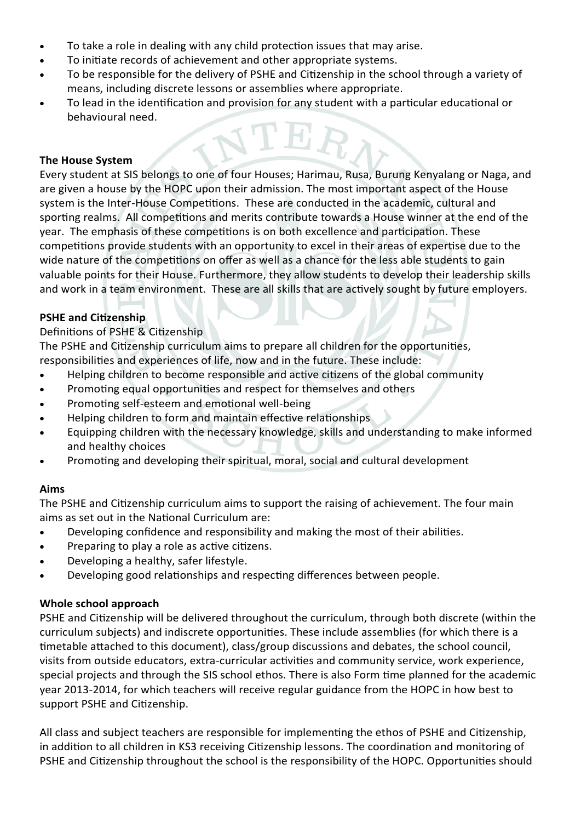- To take a role in dealing with any child protection issues that may arise.
- To initiate records of achievement and other appropriate systems.
- To be responsible for the delivery of PSHE and Citizenship in the school through a variety of means, including discrete lessons or assemblies where appropriate.
- To lead in the identification and provision for any student with a particular educational or behavioural need.

### **The House System**

Every student at SIS belongs to one of four Houses; Harimau, Rusa, Burung Kenyalang or Naga, and are given a house by the HOPC upon their admission. The most important aspect of the House system is the Inter-House Competitions. These are conducted in the academic, cultural and sporting realms. All competitions and merits contribute towards a House winner at the end of the year. The emphasis of these competitions is on both excellence and participation. These competitions provide students with an opportunity to excel in their areas of expertise due to the wide nature of the competitions on offer as well as a chance for the less able students to gain valuable points for their House. Furthermore, they allow students to develop their leadership skills and work in a team environment. These are all skills that are actively sought by future employers.

### **PSHE and Citizenship**

### Definitions of PSHE & Citizenship

The PSHE and Citizenship curriculum aims to prepare all children for the opportunities, responsibilities and experiences of life, now and in the future. These include:

- Helping children to become responsible and active citizens of the global community
- Promoting equal opportunities and respect for themselves and others
- Promoting self-esteem and emotional well-being
- Helping children to form and maintain effective relationships
- Equipping children with the necessary knowledge, skills and understanding to make informed and healthy choices
- Promoting and developing their spiritual, moral, social and cultural development

# **Aims**

The PSHE and Citizenship curriculum aims to support the raising of achievement. The four main aims as set out in the National Curriculum are:

- Developing confidence and responsibility and making the most of their abilities.
- Preparing to play a role as active citizens.
- Developing a healthy, safer lifestyle.
- Developing good relationships and respecting differences between people.

# **Whole school approach**

PSHE and Citizenship will be delivered throughout the curriculum, through both discrete (within the curriculum subjects) and indiscrete opportunities. These include assemblies (for which there is a timetable attached to this document), class/group discussions and debates, the school council, visits from outside educators, extra-curricular activities and community service, work experience, special projects and through the SIS school ethos. There is also Form time planned for the academic year 2013-2014, for which teachers will receive regular guidance from the HOPC in how best to support PSHE and Citizenship.

All class and subject teachers are responsible for implementing the ethos of PSHE and Citizenship, in addition to all children in KS3 receiving Citizenship lessons. The coordination and monitoring of PSHE and Citizenship throughout the school is the responsibility of the HOPC. Opportunities should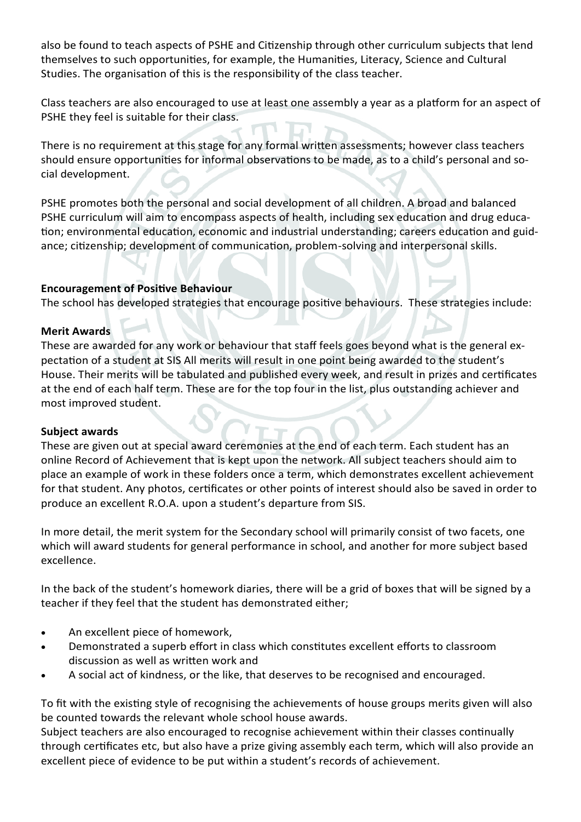also be found to teach aspects of PSHE and Citizenship through other curriculum subjects that lend themselves to such opportunities, for example, the Humanities, Literacy, Science and Cultural Studies. The organisation of this is the responsibility of the class teacher.

Class teachers are also encouraged to use at least one assembly a year as a platform for an aspect of PSHE they feel is suitable for their class.

There is no requirement at this stage for any formal written assessments; however class teachers should ensure opportunities for informal observations to be made, as to a child's personal and social development.

PSHE promotes both the personal and social development of all children. A broad and balanced PSHE curriculum will aim to encompass aspects of health, including sex education and drug education; environmental education, economic and industrial understanding; careers education and guidance; citizenship; development of communication, problem-solving and interpersonal skills.

# **Encouragement of Positive Behaviour**

The school has developed strategies that encourage positive behaviours. These strategies include:

# **Merit Awards**

These are awarded for any work or behaviour that staff feels goes beyond what is the general expectation of a student at SIS All merits will result in one point being awarded to the student's House. Their merits will be tabulated and published every week, and result in prizes and certificates at the end of each half term. These are for the top four in the list, plus outstanding achiever and most improved student.

# **Subject awards**

These are given out at special award ceremonies at the end of each term. Each student has an online Record of Achievement that is kept upon the network. All subject teachers should aim to place an example of work in these folders once a term, which demonstrates excellent achievement for that student. Any photos, certificates or other points of interest should also be saved in order to produce an excellent R.O.A. upon a student's departure from SIS.

In more detail, the merit system for the Secondary school will primarily consist of two facets, one which will award students for general performance in school, and another for more subject based excellence.

In the back of the student's homework diaries, there will be a grid of boxes that will be signed by a teacher if they feel that the student has demonstrated either;

- An excellent piece of homework,
- Demonstrated a superb effort in class which constitutes excellent efforts to classroom discussion as well as written work and
- A social act of kindness, or the like, that deserves to be recognised and encouraged.

To fit with the existing style of recognising the achievements of house groups merits given will also be counted towards the relevant whole school house awards.

Subject teachers are also encouraged to recognise achievement within their classes continually through certificates etc, but also have a prize giving assembly each term, which will also provide an excellent piece of evidence to be put within a student's records of achievement.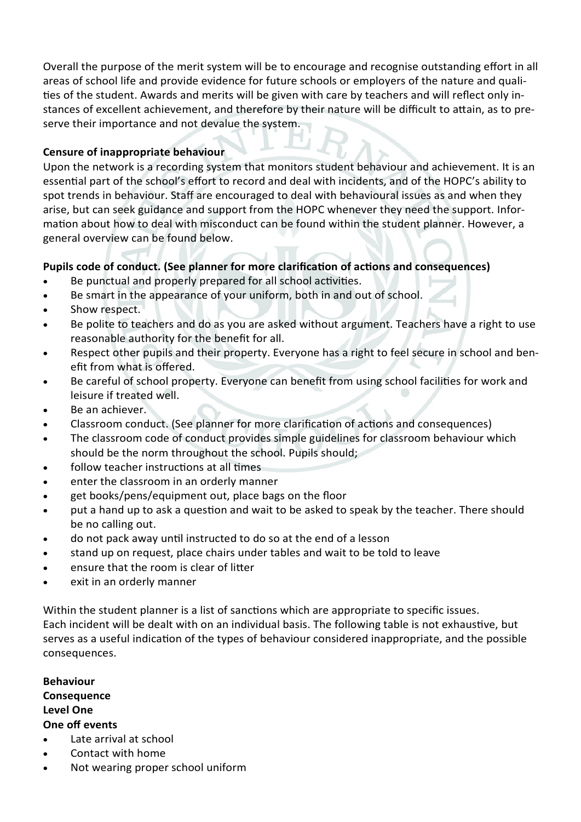Overall the purpose of the merit system will be to encourage and recognise outstanding effort in all areas of school life and provide evidence for future schools or employers of the nature and qualities of the student. Awards and merits will be given with care by teachers and will reflect only instances of excellent achievement, and therefore by their nature will be difficult to attain, as to preserve their importance and not devalue the system.

# **Censure of inappropriate behaviour**

Upon the network is a recording system that monitors student behaviour and achievement. It is an essential part of the school's effort to record and deal with incidents, and of the HOPC's ability to spot trends in behaviour. Staff are encouraged to deal with behavioural issues as and when they arise, but can seek guidance and support from the HOPC whenever they need the support. Information about how to deal with misconduct can be found within the student planner. However, a general overview can be found below.

# **Pupils code of conduct. (See planner for more clarification of actions and consequences)**

- Be punctual and properly prepared for all school activities.
- Be smart in the appearance of your uniform, both in and out of school.
- Show respect.
- Be polite to teachers and do as you are asked without argument. Teachers have a right to use reasonable authority for the benefit for all.
- Respect other pupils and their property. Everyone has a right to feel secure in school and benefit from what is offered.
- Be careful of school property. Everyone can benefit from using school facilities for work and leisure if treated well.
- Be an achiever.
- Classroom conduct. (See planner for more clarification of actions and consequences)
- The classroom code of conduct provides simple guidelines for classroom behaviour which should be the norm throughout the school. Pupils should;
- follow teacher instructions at all times
- enter the classroom in an orderly manner
- get books/pens/equipment out, place bags on the floor
- put a hand up to ask a question and wait to be asked to speak by the teacher. There should be no calling out.
- do not pack away until instructed to do so at the end of a lesson
- stand up on request, place chairs under tables and wait to be told to leave
- ensure that the room is clear of litter
- exit in an orderly manner

Within the student planner is a list of sanctions which are appropriate to specific issues. Each incident will be dealt with on an individual basis. The following table is not exhaustive, but serves as a useful indication of the types of behaviour considered inappropriate, and the possible consequences.

**Behaviour Consequence Level One One off events**

- Late arrival at school
- Contact with home
- Not wearing proper school uniform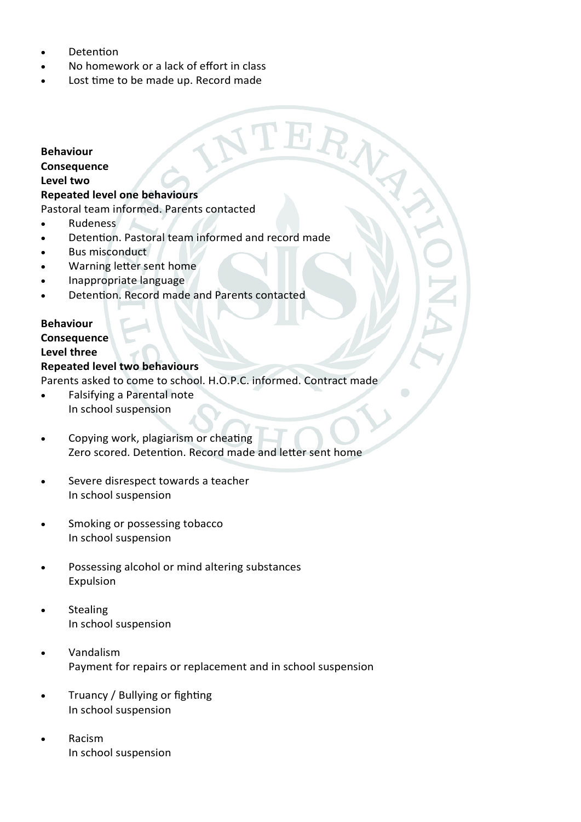- Detention
- No homework or a lack of effort in class
- Lost time to be made up. Record made

#### **Behaviour**

### **Consequence**

#### **Level two**

### **Repeated level one behaviours**

Pastoral team informed. Parents contacted

- Rudeness
- Detention. Pastoral team informed and record made

RA

- Bus misconduct
- Warning letter sent home
- Inappropriate language
- Detention. Record made and Parents contacted

# **Behaviour Consequence**

# **Level three**

### **Repeated level two behaviours**

Parents asked to come to school. H.O.P.C. informed. Contract made

- Falsifying a Parental note In school suspension
- Copying work, plagiarism or cheating Zero scored. Detention. Record made and letter sent home
- Severe disrespect towards a teacher In school suspension
- Smoking or possessing tobacco In school suspension
- Possessing alcohol or mind altering substances Expulsion
- Stealing In school suspension
- Vandalism Payment for repairs or replacement and in school suspension
- Truancy / Bullying or fighting In school suspension
- Racism In school suspension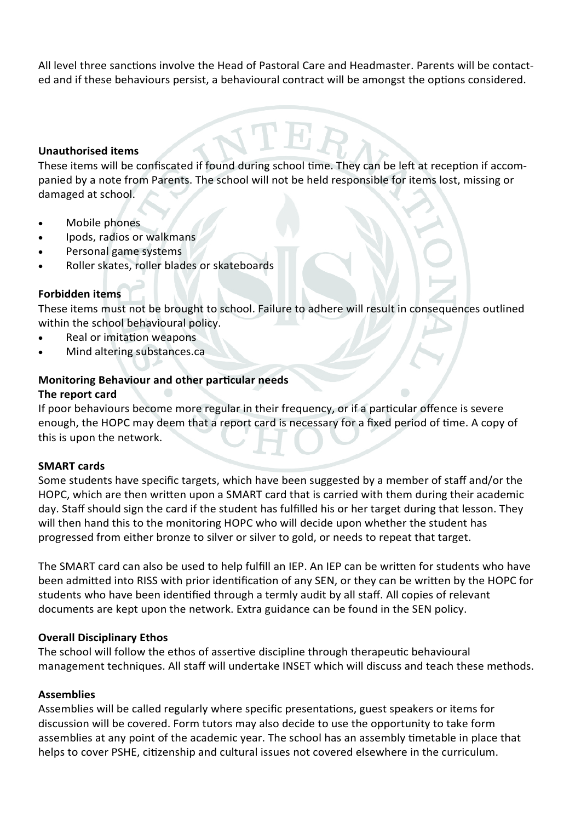All level three sanctions involve the Head of Pastoral Care and Headmaster. Parents will be contacted and if these behaviours persist, a behavioural contract will be amongst the options considered.

### **Unauthorised items**

These items will be confiscated if found during school time. They can be left at reception if accompanied by a note from Parents. The school will not be held responsible for items lost, missing or damaged at school.

- Mobile phones
- Ipods, radios or walkmans
- Personal game systems
- Roller skates, roller blades or skateboards

### **Forbidden items**

These items must not be brought to school. Failure to adhere will result in consequences outlined within the school behavioural policy.

- Real or imitation weapons
- Mind altering substances.ca

# **Monitoring Behaviour and other particular needs**

### **The report card**

If poor behaviours become more regular in their frequency, or if a particular offence is severe enough, the HOPC may deem that a report card is necessary for a fixed period of time. A copy of this is upon the network.

### **SMART cards**

Some students have specific targets, which have been suggested by a member of staff and/or the HOPC, which are then written upon a SMART card that is carried with them during their academic day. Staff should sign the card if the student has fulfilled his or her target during that lesson. They will then hand this to the monitoring HOPC who will decide upon whether the student has progressed from either bronze to silver or silver to gold, or needs to repeat that target.

The SMART card can also be used to help fulfill an IEP. An IEP can be written for students who have been admitted into RISS with prior identification of any SEN, or they can be written by the HOPC for students who have been identified through a termly audit by all staff. All copies of relevant documents are kept upon the network. Extra guidance can be found in the SEN policy.

### **Overall Disciplinary Ethos**

The school will follow the ethos of assertive discipline through therapeutic behavioural management techniques. All staff will undertake INSET which will discuss and teach these methods.

### **Assemblies**

Assemblies will be called regularly where specific presentations, guest speakers or items for discussion will be covered. Form tutors may also decide to use the opportunity to take form assemblies at any point of the academic year. The school has an assembly timetable in place that helps to cover PSHE, citizenship and cultural issues not covered elsewhere in the curriculum.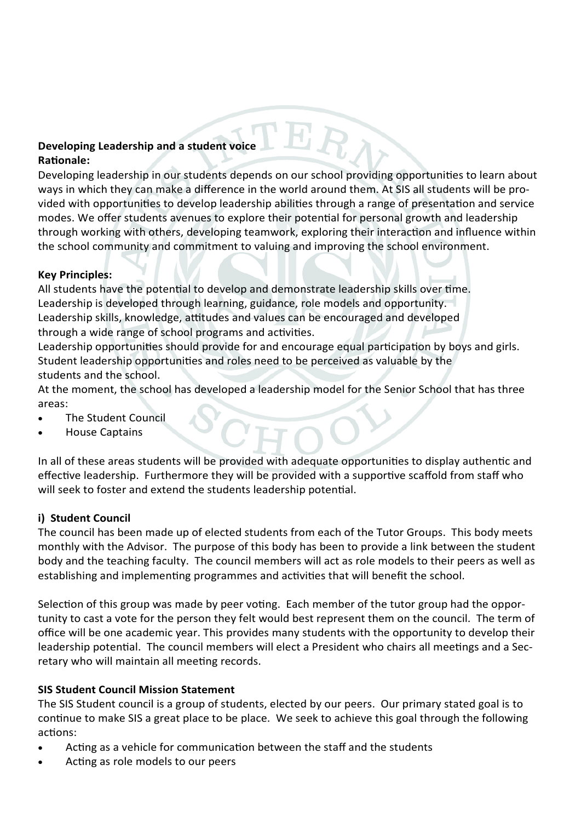# **Developing Leadership and a student voice Rationale:**

Developing leadership in our students depends on our school providing opportunities to learn about ways in which they can make a difference in the world around them. At SIS all students will be provided with opportunities to develop leadership abilities through a range of presentation and service modes. We offer students avenues to explore their potential for personal growth and leadership through working with others, developing teamwork, exploring their interaction and influence within the school community and commitment to valuing and improving the school environment.

 $\mathbf{E} \mathbf{R}$ 

# **Key Principles:**

All students have the potential to develop and demonstrate leadership skills over time. Leadership is developed through learning, guidance, role models and opportunity. Leadership skills, knowledge, attitudes and values can be encouraged and developed through a wide range of school programs and activities.

Leadership opportunities should provide for and encourage equal participation by boys and girls. Student leadership opportunities and roles need to be perceived as valuable by the students and the school.

At the moment, the school has developed a leadership model for the Senior School that has three areas:

- The Student Council
- House Captains

In all of these areas students will be provided with adequate opportunities to display authentic and effective leadership. Furthermore they will be provided with a supportive scaffold from staff who will seek to foster and extend the students leadership potential.

# **i) Student Council**

The council has been made up of elected students from each of the Tutor Groups. This body meets monthly with the Advisor. The purpose of this body has been to provide a link between the student body and the teaching faculty. The council members will act as role models to their peers as well as establishing and implementing programmes and activities that will benefit the school.

Selection of this group was made by peer voting. Each member of the tutor group had the opportunity to cast a vote for the person they felt would best represent them on the council. The term of office will be one academic year. This provides many students with the opportunity to develop their leadership potential. The council members will elect a President who chairs all meetings and a Secretary who will maintain all meeting records.

# **SIS Student Council Mission Statement**

The SIS Student council is a group of students, elected by our peers. Our primary stated goal is to continue to make SIS a great place to be place. We seek to achieve this goal through the following actions:

- Acting as a vehicle for communication between the staff and the students
- Acting as role models to our peers